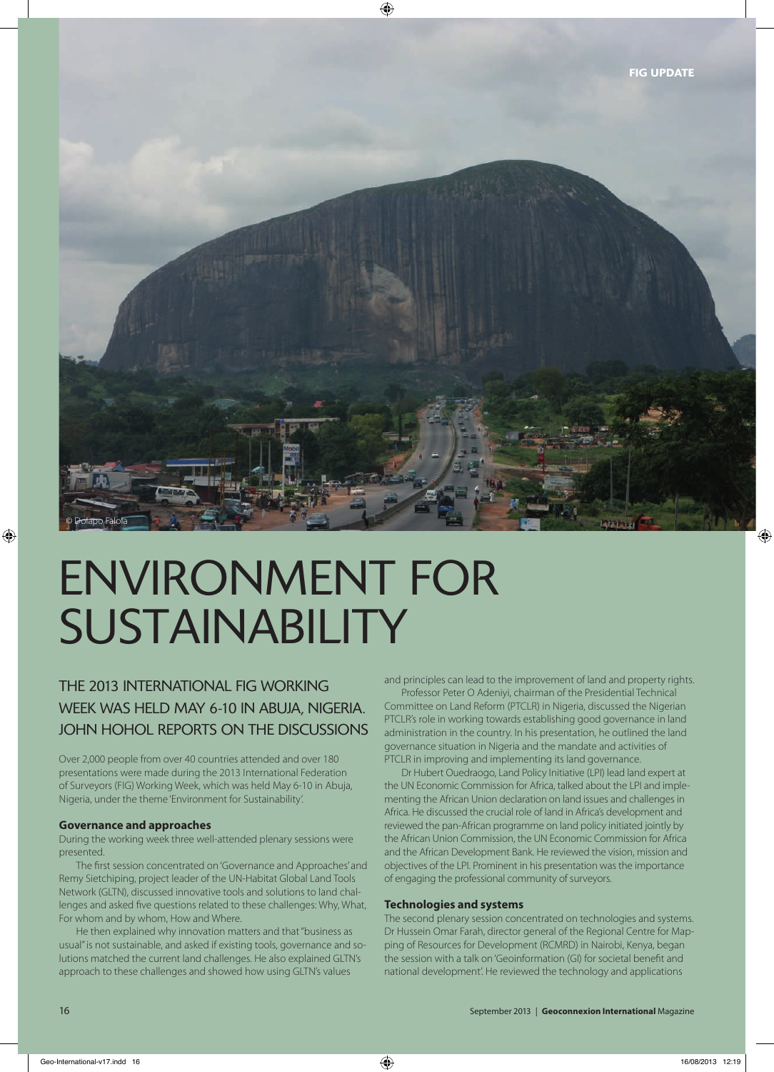

# ENVIRONMENT FOR **SUSTAINABILITY**

THE 2013 INTERNATIONAL FIG WORKING WEEK WAS HELD MAY 6-10 IN ABUJA, NIGERIA. JOHN HOHOL REPORTS ON THE DISCUSSIONS

Over 2,000 people from over 40 countries attended and over 180 presentations were made during the 2013 International Federation of Surveyors (FIG) Working Week, which was held May 6-10 in Abuja, Nigeria, under the theme 'Environment for Sustainability'.

#### **Governance and approaches**

During the working week three well-attended plenary sessions were presented.

The first session concentrated on 'Governance and Approaches' and Remy Sietchiping, project leader of the UN-Habitat Global Land Tools Network (GLTN), discussed innovative tools and solutions to land challenges and asked five questions related to these challenges: Why, What, For whom and by whom, How and Where.

He then explained why innovation matters and that "business as usual" is not sustainable, and asked if existing tools, governance and solutions matched the current land challenges. He also explained GLTN's approach to these challenges and showed how using GLTN's values

and principles can lead to the improvement of land and property rights.

Professor Peter O Adeniyi, chairman of the Presidential Technical Committee on Land Reform (PTCLR) in Nigeria, discussed the Nigerian PTCLR's role in working towards establishing good governance in land administration in the country. In his presentation, he outlined the land governance situation in Nigeria and the mandate and activities of PTCLR in improving and implementing its land governance.

Dr Hubert Ouedraogo, Land Policy Initiative (LPI) lead land expert at the UN Economic Commission for Africa, talked about the LPI and implementing the African Union declaration on land issues and challenges in Africa. He discussed the crucial role of land in Africa's development and reviewed the pan-African programme on land policy initiated jointly by the African Union Commission, the UN Economic Commission for Africa and the African Development Bank. He reviewed the vision, mission and objectives of the LPI. Prominent in his presentation was the importance of engaging the professional community of surveyors.

#### **Technologies and systems**

The second plenary session concentrated on technologies and systems. Dr Hussein Omar Farah, director general of the Regional Centre for Mapping of Resources for Development (RCMRD) in Nairobi, Kenya, began the session with a talk on 'Geoinformation (GI) for societal benefit and national development'. He reviewed the technology and applications